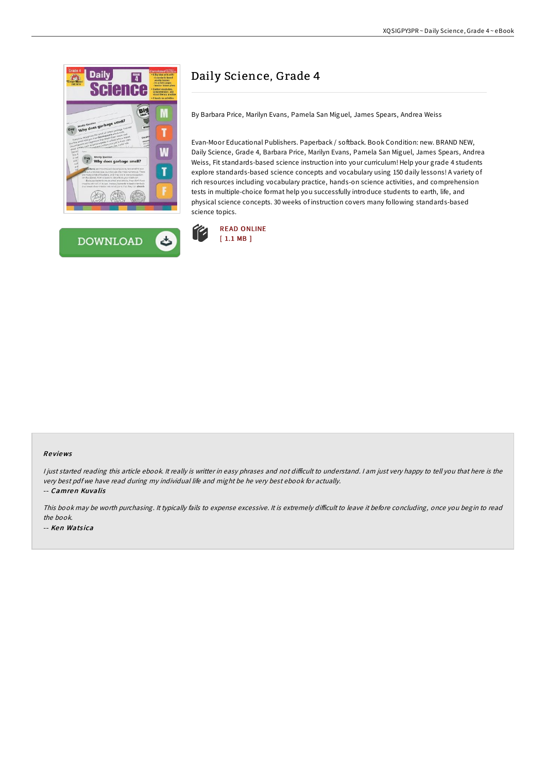



## Daily Science, Grade 4

By Barbara Price, Marilyn Evans, Pamela San Miguel, James Spears, Andrea Weiss

Evan-Moor Educational Publishers. Paperback / softback. Book Condition: new. BRAND NEW, Daily Science, Grade 4, Barbara Price, Marilyn Evans, Pamela San Miguel, James Spears, Andrea Weiss, Fit standards-based science instruction into your curriculum! Help your grade 4 students explore standards-based science concepts and vocabulary using 150 daily lessons! A variety of rich resources including vocabulary practice, hands-on science activities, and comprehension tests in multiple-choice format help you successfully introduce students to earth, life, and physical science concepts. 30 weeks of instruction covers many following standards-based science topics.



## Re views

I just started reading this article ebook. It really is writter in easy phrases and not difficult to understand. I am just very happy to tell you that here is the very best pdf we have read during my individual life and might be he very best ebook for actually.

-- Camren Kuvalis

This book may be worth purchasing. It typically fails to expense excessive. It is extremely difficult to leave it before concluding, once you begin to read the book. -- Ken Watsica